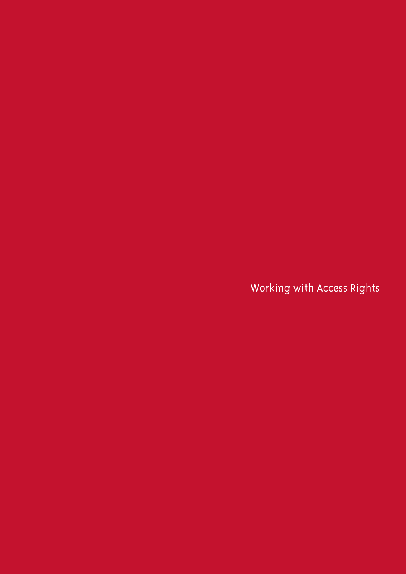Working with Access Rights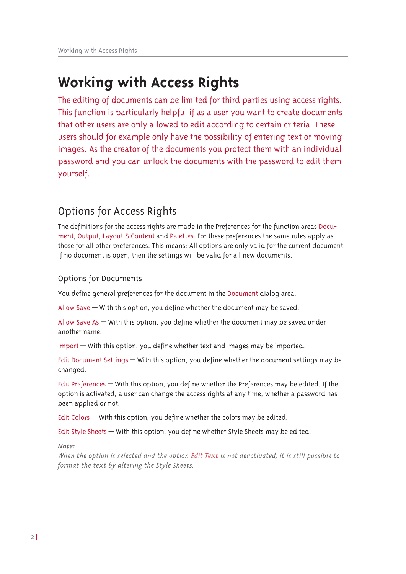# **Working with Access Rights**

The editing of documents can be limited for third parties using access rights. This function is particularly helpful if as a user you want to create documents that other users are only allowed to edit according to certain criteria. These users should for example only have the possibility of entering text or moving images. As the creator of the documents you protect them with an individual password and you can unlock the documents with the password to edit them yourself.

## Options for Access Rights

The definitions for the access rights are made in the Preferences for the function areas Document, Output, Layout & Content and Palettes. For these preferences the same rules apply as those for all other preferences. This means: All options are only valid for the current document. If no document is open, then the settings will be valid for all new documents.

## **Options for Documents**

You define general preferences for the document in the Document dialog area.

Allow Save  $-$  With this option, you define whether the document may be saved.

Allow Save As  $-$  With this option, you define whether the document may be saved under another name.

Import - With this option, you define whether text and images may be imported.

Edit Document Settings - With this option, you define whether the document settings may be changed.

Edit Preferences – With this option, you define whether the Preferences may be edited. If the option is activated, a user can change the access rights at any time, whether a password has been applied or not.

Edit Colors - With this option, you define whether the colors may be edited.

Edit Style Sheets - With this option, you define whether Style Sheets may be edited.

Note:

When the option is selected and the option Edit Text is not deactivated, it is still possible to format the text by altering the Style Sheets.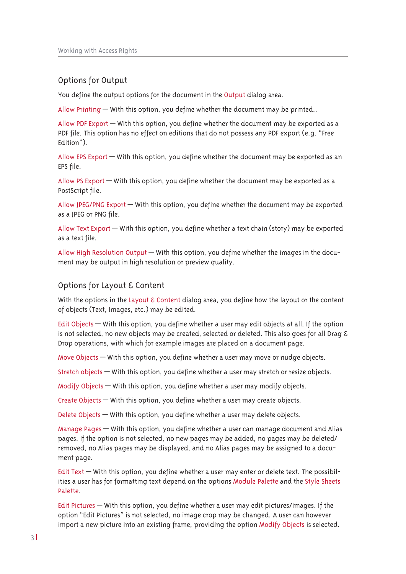## Options for Output

You define the output options for the document in the Output dialog area.

Allow Printing  $-$  With this option, you define whether the document may be printed..

Allow PDF Export — With this option, you define whether the document may be exported as a PDF file. This option has no effect on editions that do not possess any PDF export (e.g. "Free Fdition")

Allow EPS Export  $-$  With this option, you define whether the document may be exported as an EPS file.

Allow PS Export  $-$  With this option, you define whether the document may be exported as a PostScript file.

Allow JPEG/PNG Export  $-$  With this option, you define whether the document may be exported as a JPEG or PNG file.

Allow Text Export — With this option, you define whether a text chain (story) may be exported as a text file.

Allow High Resolution Output  $-$  With this option, you define whether the images in the document may be output in high resolution or preview quality.

## Options for Layout & Content

With the options in the Layout  $\epsilon$  Content dialog area, you define how the layout or the content of objects (Text, Images, etc.) may be edited.

Edit Objects  $-$  With this option, you define whether a user may edit objects at all. If the option is not selected, no new objects may be created, selected or deleted. This also goes for all Drag  $\epsilon$ Drop operations, with which for example images are placed on a document page.

Move Objects  $-$  With this option, you define whether a user may move or nudge objects.

Stretch objects – With this option, you define whether a user may stretch or resize objects.

Modify Objects  $-$  With this option, you define whether a user may modify objects.

Create Objects  $-$  With this option, you define whether a user may create objects.

Delete Obiects – With this option, you define whether a user may delete obiects.

Manage Pages – With this option, you define whether a user can manage document and Alias pages. If the option is not selected, no new pages may be added, no pages may be deleted/ removed, no Alias pages may be displayed, and no Alias pages may be assigned to a document page.

Edit Text  $-$  With this option, you define whether a user may enter or delete text. The possibilities a user has for formatting text depend on the options Module Palette and the Style Sheets Palette.

Edit Pictures – With this option, you define whether a user may edit pictures/images. If the option "Edit Pictures" is not selected, no image crop may be changed. A user can however import a new picture into an existing frame, providing the option Modify Objects is selected.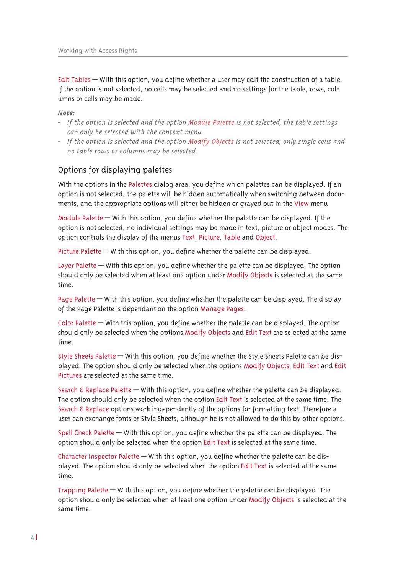Edit Tables – With this option, you define whether a user may edit the construction of a table. If the option is not selected, no cells may be selected and no settings for the table, rows, columns or cells may be made.

#### Note:

- If the option is selected and the option Module Palette is not selected, the table settings can only be selected with the context menu.
- If the option is selected and the option Modify Objects is not selected, only single cells and no table rows or columns may be selected.

## Options for displaying palettes

With the options in the Palettes dialog area, you define which palettes can be displayed. If an option is not selected, the palette will be hidden automatically when switching between documents, and the appropriate options will either be hidden or grayed out in the View menu

Module Palette — With this option, you define whether the palette can be displayed. If the option is not selected, no individual settings may be made in text, picture or object modes. The option controls the display of the menus Text, Picture, Table and Object.

Picture Palette – With this option, you define whether the palette can be displayed.

Layer Palette  $-$  With this option, you define whether the palette can be displayed. The option should only be selected when at least one option under Modify Objects is selected at the same time.

Page Palette – With this option, you define whether the palette can be displayed. The display of the Page Palette is dependant on the option Manage Pages.

Color Palette – With this option, you define whether the palette can be displayed. The option should only be selected when the options Modify Objects and Edit Text are selected at the same time.

Style Sheets Palette - With this option, you define whether the Style Sheets Palette can be displayed. The option should only be selected when the options Modify Objects, Edit Text and Edit Pictures are selected at the same time.

Search  $\epsilon$  Replace Palette  $-$  With this option, you define whether the palette can be displayed. The option should only be selected when the option Edit Text is selected at the same time. The Search & Replace options work independently of the options for formatting text. Therefore a user can exchange fonts or Style Sheets, although he is not allowed to do this by other options.

Spell Check Palette — With this option, you define whether the palette can be displayed. The option should only be selected when the option Edit Text is selected at the same time.

Character Inspector Palette - With this option, you define whether the palette can be displayed. The option should only be selected when the option Edit Text is selected at the same time.

Trapping Palette – With this option, you define whether the palette can be displayed. The option should only be selected when at least one option under Modify Objects is selected at the same time.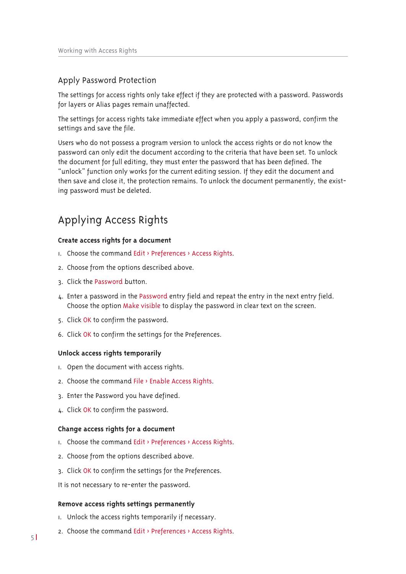## Apply Password Protection

The settings for access rights only take effect if they are protected with a password. Passwords for layers or Alias pages remain unaffected.

The settings for access rights take immediate effect when you apply a password, confirm the settings and save the file.

Users who do not possess a program version to unlock the access rights or do not know the password can only edit the document according to the criteria that have been set. To unlock the document for full editing, they must enter the password that has been defined. The "unlock" function only works for the current editing session. If they edit the document and then save and close it, the protection remains. To unlock the document permanently, the existing password must be deleted.

## Applying Access Rights

#### **Create access rights for a document**

- $\mu$ . Choose the command Edit > Preferences > Access Rights.
- 2. Choose from the options described above.
- 3. Click the Password button.
- $\mu$ . Enter a password in the Password entry field and repeat the entry in the next entry field. Choose the option Make visible to display the password in clear text on the screen.
- 5. Click OK to confirm the password.
- 6. Click OK to confirm the settings for the Preferences.

#### **Unlock access rights temporarily**

- I. Open the document with access rights.
- 2. Choose the command File  $\rightarrow$  Enable Access Rights.
- 3. Enter the Password you have defined.
- 4. Click OK to confirm the password.

#### **Change access rights for a document**

- $\mathsf{I}$ . Choose the command Edit > Preferences > Access Rights.
- 2. Choose from the options described above.
- 3. Click OK to confirm the settings for the Preferences.
- It is not necessary to re-enter the password.

#### **Remove access rights settings permanently**

- I. Unlock the access rights temporarily if necessary.
- 2. Choose the command Edit > Preferences > Access Rights.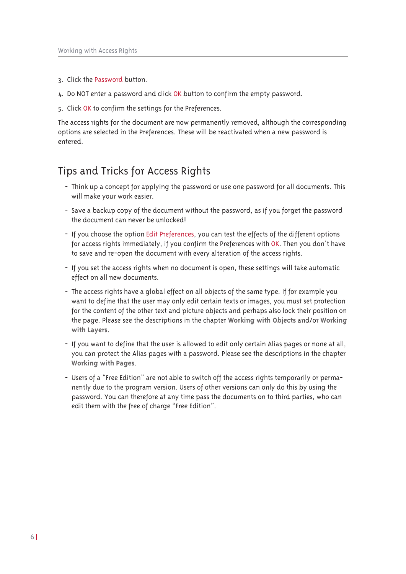- 3. Click the Password button.
- 4. Do NOT enter a password and click OK button to confirm the empty password.
- 5. Click OK to confirm the settings for the Preferences.

The access rights for the document are now permanently removed, although the corresponding options are selected in the Preferences. These will be reactivated when a new password is entered.

## Tips and Tricks for Access Rights

- Think up a concept for applying the password or use one password for all documents. This will make your work easier.
- Save a backup copy of the document without the password, as if you forget the password the document can never be unlocked!
- If you choose the option Edit Preferences, you can test the effects of the different options for access rights immediately, if you confirm the Preferences with OK. Then you don't have to save and re-open the document with every alteration of the access rights.
- If you set the access rights when no document is open, these settings will take automatic effect on all new documents.
- The access rights have a global effect on all objects of the same type. If for example you want to define that the user may only edit certain texts or images, you must set protection for the content of the other text and picture objects and perhaps also lock their position on the page. Please see the descriptions in the chapter Working with Objects and/or Working with Layers.
- If you want to define that the user is allowed to edit only certain Alias pages or none at all, you can protect the Alias pages with a password. Please see the descriptions in the chapter Working with Pages.
- Users of a "Free Edition" are not able to switch off the access rights temporarily or permanently due to the program version. Users of other versions can only do this by using the password. You can therefore at any time pass the documents on to third parties, who can edit them with the free of charge "Free Edition".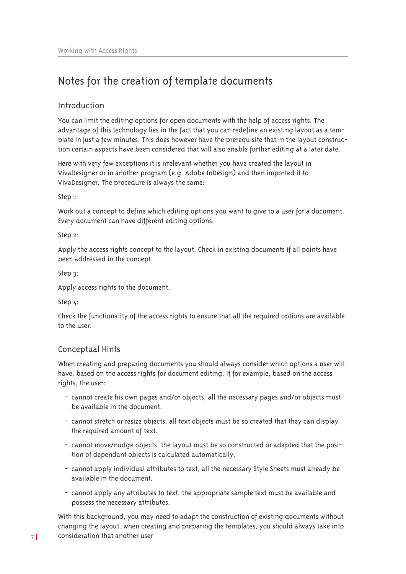## Notes for the creation of template documents

## Introduction

You can limit the editing options for open documents with the help of access rights. The advantage of this technology lies in the fact that you can redefine an existing layout as a template in just a few minutes. This does however have the prerequisite that in the layout construction certain aspects have been considered that will also enable further editing at a later date.

Here with very few exceptions it is irrelevant whether you have created the layout in VivaDesigner or in another program (e.g. Adobe InDesign) and then imported it to VivaDesigner. The procedure is always the same:

### Step 1:

Work out a concept to define which editing options you want to give to a user for a document. Every document can have different editing options.

#### Step 2:

Apply the access rights concept to the layout. Check in existing documents if all points have been addressed in the concept.

### Step  $3$ :

Apply access rights to the document.

Step 4:

Check the functionality of the access rights to ensure that all the required options are available to the user

## Conceptual Hints

When creating and preparing documents you should always consider which options a user will have, based on the access rights for document editing. If for example, based on the access rights, the user:

- cannot create his own pages and/or objects, all the necessary pages and/or objects must be available in the document.
- cannot stretch or resize objects, all text objects must be so created that they can display the required amount of text.
- cannot move/nudge objects, the layout must be so constructed or adapted that the position of dependant objects is calculated automatically.
- cannot apply individual attributes to text, all the necessary Style Sheets must already be available in the document.
- cannot apply any attributes to text, the appropriate sample text must be available and possess the necessary attributes.

With this background, you may need to adapt the construction of existing documents without changing the layout. when creating and preparing the templates, you should always take into consideration that another user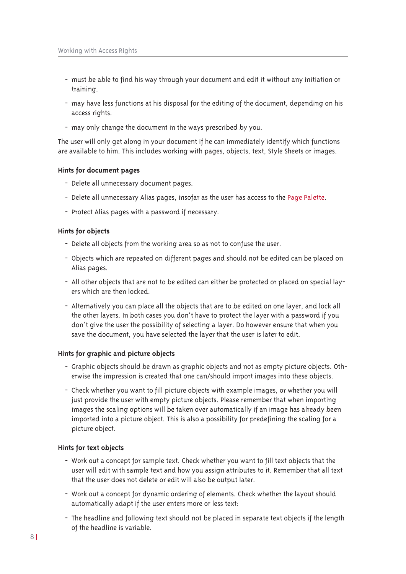- must be able to find his way through your document and edit it without any initiation or training.
- may have less functions at his disposal for the editing of the document, depending on his access rights.
- may only change the document in the ways prescribed by you.

The user will only get along in your document if he can immediately identify which functions are available to him. This includes working with pages, objects, text, Style Sheets or images.

#### Hints for document pages

- Delete all unnecessary document pages.
- Delete all unnecessary Alias pages, insofar as the user has access to the Page Palette.
- Protect Alias pages with a password if necessary.

#### Hints for objects

- Delete all objects from the working area so as not to confuse the user.
- Objects which are repeated on different pages and should not be edited can be placed on Alias pages.
- All other objects that are not to be edited can either be protected or placed on special layers which are then locked
- Alternatively you can place all the objects that are to be edited on one layer, and lock all the other layers. In both cases you don't have to protect the layer with a password if you don't give the user the possibility of selecting a layer. Do however ensure that when you save the document, you have selected the layer that the user is later to edit.

#### Hints for graphic and picture objects

- Graphic objects should be drawn as graphic objects and not as empty picture objects. Otherwise the impression is created that one can/should import images into these objects.
- Check whether you want to fill picture objects with example images, or whether you will just provide the user with empty picture objects. Please remember that when importing images the scaling options will be taken over automatically if an image has already been imported into a picture object. This is also a possibility for predefining the scaling for a picture object.

#### Hints for text objects

- Work out a concept for sample text. Check whether you want to fill text objects that the user will edit with sample text and how you assign attributes to it. Remember that all text that the user does not delete or edit will also be output later.
- Work out a concept for dynamic ordering of elements. Check whether the layout should automatically adapt if the user enters more or less text:
- The headline and following text should not be placed in separate text objects if the length of the headline is variable.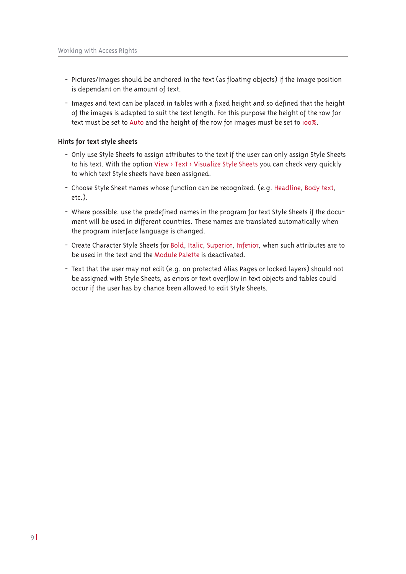- Pictures/images should be anchored in the text (as floating objects) if the image position is dependant on the amount of text.
- Images and text can be placed in tables with a fixed height and so defined that the height of the images is adapted to suit the text length. For this purpose the height of the row for text must be set to Auto and the height of the row for images must be set to 100%.

### Hints for text style sheets

- Only use Style Sheets to assign attributes to the text if the user can only assign Style Sheets to his text. With the option View > Text > Visualize Style Sheets you can check very quickly to which text Style sheets have been assigned.
- Choose Style Sheet names whose function can be recognized. (e.g. Headline, Body text,  $etc.$ ).
- Where possible, use the predefined names in the program for text Style Sheets if the document will be used in different countries. These names are translated automatically when the program interface language is changed.
- Create Character Style Sheets for Bold, Italic, Superior, Inferior, when such attributes are to be used in the text and the Module Palette is deactivated.
- Text that the user may not edit (e.g. on protected Alias Pages or locked layers) should not be assigned with Style Sheets, as errors or text overflow in text objects and tables could occur if the user has by chance been allowed to edit Style Sheets.